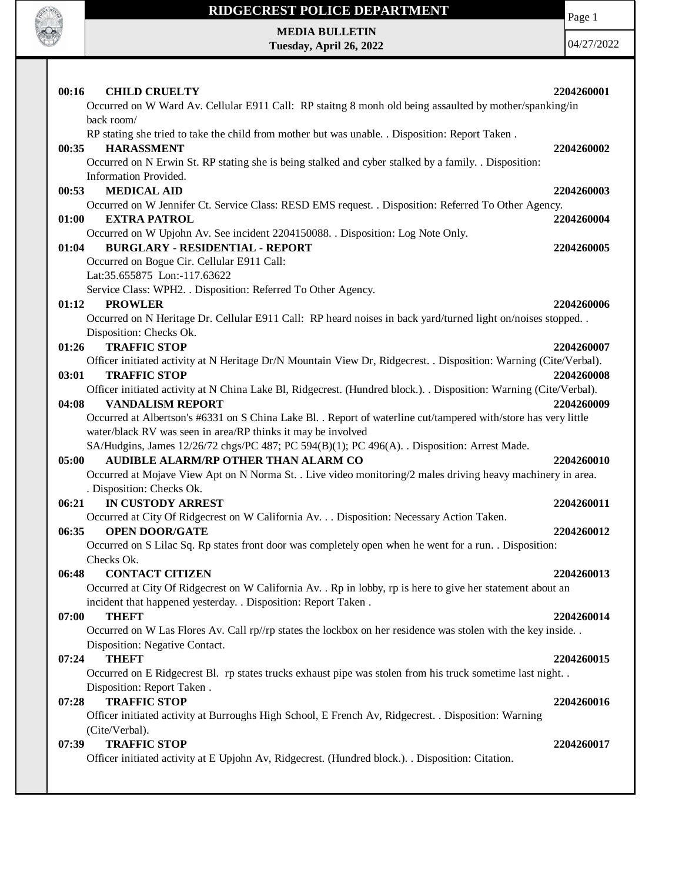

Page 1

**MEDIA BULLETIN Tuesday, April 26, 2022**

| 00:16<br><b>CHILD CRUELTY</b><br>Occurred on W Ward Av. Cellular E911 Call: RP staitng 8 monh old being assaulted by mother/spanking/in                                                                                                              | 2204260001 |
|------------------------------------------------------------------------------------------------------------------------------------------------------------------------------------------------------------------------------------------------------|------------|
| back room/<br>RP stating she tried to take the child from mother but was unable. . Disposition: Report Taken.<br><b>HARASSMENT</b><br>00:35<br>Occurred on N Erwin St. RP stating she is being stalked and cyber stalked by a family. . Disposition: | 2204260002 |
| Information Provided.<br><b>MEDICAL AID</b><br>00:53                                                                                                                                                                                                 | 2204260003 |
| Occurred on W Jennifer Ct. Service Class: RESD EMS request. . Disposition: Referred To Other Agency.<br>01:00<br><b>EXTRA PATROL</b>                                                                                                                 | 2204260004 |
| Occurred on W Upjohn Av. See incident 2204150088. . Disposition: Log Note Only.<br><b>BURGLARY - RESIDENTIAL - REPORT</b><br>01:04<br>Occurred on Bogue Cir. Cellular E911 Call:<br>Lat:35.655875 Lon:-117.63622                                     | 2204260005 |
| Service Class: WPH2. . Disposition: Referred To Other Agency.                                                                                                                                                                                        |            |
| 01:12<br><b>PROWLER</b>                                                                                                                                                                                                                              | 2204260006 |
| Occurred on N Heritage Dr. Cellular E911 Call: RP heard noises in back yard/turned light on/noises stopped<br>Disposition: Checks Ok.                                                                                                                |            |
| 01:26<br><b>TRAFFIC STOP</b>                                                                                                                                                                                                                         | 2204260007 |
| Officer initiated activity at N Heritage Dr/N Mountain View Dr, Ridgecrest. . Disposition: Warning (Cite/Verbal).                                                                                                                                    |            |
| <b>TRAFFIC STOP</b><br>03:01<br>Officer initiated activity at N China Lake Bl, Ridgecrest. (Hundred block.). . Disposition: Warning (Cite/Verbal).                                                                                                   | 2204260008 |
| 04:08<br><b>VANDALISM REPORT</b>                                                                                                                                                                                                                     | 2204260009 |
| Occurred at Albertson's #6331 on S China Lake Bl. . Report of waterline cut/tampered with/store has very little                                                                                                                                      |            |
| water/black RV was seen in area/RP thinks it may be involved                                                                                                                                                                                         |            |
| SA/Hudgins, James 12/26/72 chgs/PC 487; PC 594(B)(1); PC 496(A). . Disposition: Arrest Made.                                                                                                                                                         |            |
| AUDIBLE ALARM/RP OTHER THAN ALARM CO<br>05:00                                                                                                                                                                                                        | 2204260010 |
| Occurred at Mojave View Apt on N Norma St. . Live video monitoring/2 males driving heavy machinery in area.                                                                                                                                          |            |
| . Disposition: Checks Ok.<br>06:21<br><b>IN CUSTODY ARREST</b>                                                                                                                                                                                       | 2204260011 |
| Occurred at City Of Ridgecrest on W California Av. Disposition: Necessary Action Taken.                                                                                                                                                              |            |
| <b>OPEN DOOR/GATE</b><br>06:35                                                                                                                                                                                                                       | 2204260012 |
| Occurred on S Lilac Sq. Rp states front door was completely open when he went for a run. . Disposition:<br>Checks Ok.                                                                                                                                |            |
| 06:48 CONTACT CITIZEN                                                                                                                                                                                                                                | 2204260013 |
| Occurred at City Of Ridgecrest on W California Av. . Rp in lobby, rp is here to give her statement about an                                                                                                                                          |            |
| incident that happened yesterday. . Disposition: Report Taken.                                                                                                                                                                                       |            |
| 07:00<br><b>THEFT</b>                                                                                                                                                                                                                                | 2204260014 |
| Occurred on W Las Flores Av. Call rp//rp states the lockbox on her residence was stolen with the key inside<br>Disposition: Negative Contact.                                                                                                        |            |
| 07:24<br><b>THEFT</b>                                                                                                                                                                                                                                | 2204260015 |
| Occurred on E Ridgecrest Bl. rp states trucks exhaust pipe was stolen from his truck sometime last night                                                                                                                                             |            |
| Disposition: Report Taken.                                                                                                                                                                                                                           |            |
| <b>TRAFFIC STOP</b><br>07:28                                                                                                                                                                                                                         | 2204260016 |
| Officer initiated activity at Burroughs High School, E French Av, Ridgecrest. . Disposition: Warning                                                                                                                                                 |            |
| (Cite/Verbal).                                                                                                                                                                                                                                       |            |
| <b>TRAFFIC STOP</b><br>07:39<br>Officer initiated activity at E Upjohn Av, Ridgecrest. (Hundred block.). . Disposition: Citation.                                                                                                                    | 2204260017 |
|                                                                                                                                                                                                                                                      |            |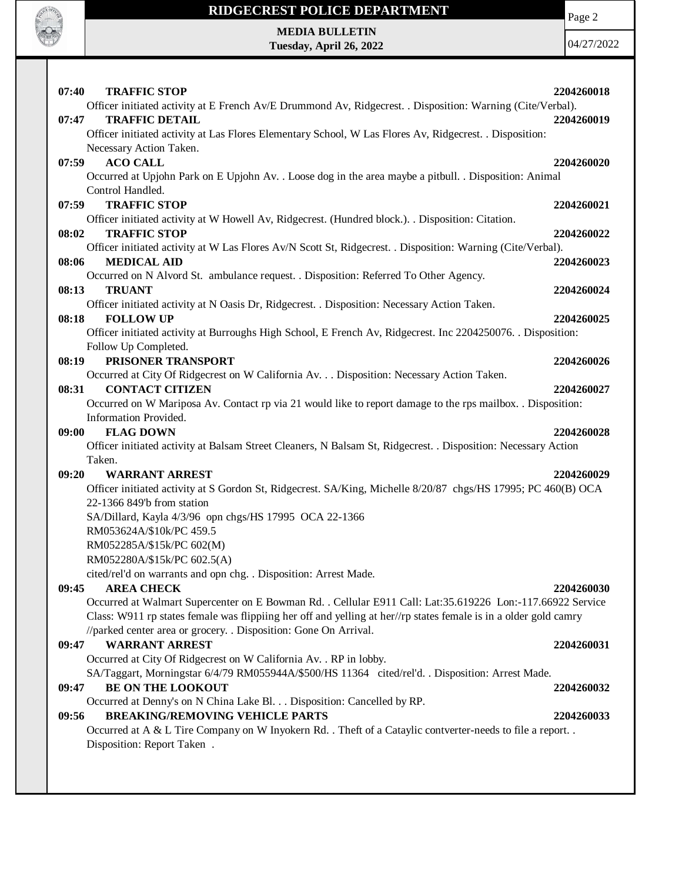

Page 2

**MEDIA BULLETIN Tuesday, April 26, 2022**

| <b>TRAFFIC STOP</b><br>07:40                                                                                     | 2204260018 |
|------------------------------------------------------------------------------------------------------------------|------------|
| Officer initiated activity at E French Av/E Drummond Av, Ridgecrest. . Disposition: Warning (Cite/Verbal).       |            |
| <b>TRAFFIC DETAIL</b><br>07:47                                                                                   | 2204260019 |
| Officer initiated activity at Las Flores Elementary School, W Las Flores Av, Ridgecrest. . Disposition:          |            |
| Necessary Action Taken.                                                                                          |            |
| <b>ACO CALL</b><br>07:59                                                                                         | 2204260020 |
| Occurred at Upjohn Park on E Upjohn Av. . Loose dog in the area maybe a pitbull. . Disposition: Animal           |            |
| Control Handled.                                                                                                 |            |
| <b>TRAFFIC STOP</b><br>07:59                                                                                     | 2204260021 |
| Officer initiated activity at W Howell Av, Ridgecrest. (Hundred block.). . Disposition: Citation.                |            |
| 08:02<br><b>TRAFFIC STOP</b>                                                                                     | 2204260022 |
| Officer initiated activity at W Las Flores Av/N Scott St, Ridgecrest. . Disposition: Warning (Cite/Verbal).      |            |
| 08:06<br><b>MEDICAL AID</b>                                                                                      | 2204260023 |
| Occurred on N Alvord St. ambulance request. . Disposition: Referred To Other Agency.                             |            |
| 08:13<br><b>TRUANT</b>                                                                                           | 2204260024 |
| Officer initiated activity at N Oasis Dr, Ridgecrest. . Disposition: Necessary Action Taken.                     |            |
| 08:18<br><b>FOLLOW UP</b>                                                                                        | 2204260025 |
| Officer initiated activity at Burroughs High School, E French Av, Ridgecrest. Inc 2204250076. Disposition:       |            |
| Follow Up Completed.                                                                                             |            |
| PRISONER TRANSPORT<br>08:19                                                                                      | 2204260026 |
| Occurred at City Of Ridgecrest on W California Av. Disposition: Necessary Action Taken.                          |            |
| <b>CONTACT CITIZEN</b><br>08:31                                                                                  | 2204260027 |
|                                                                                                                  |            |
| Occurred on W Mariposa Av. Contact rp via 21 would like to report damage to the rps mailbox. . Disposition:      |            |
| Information Provided.                                                                                            |            |
|                                                                                                                  |            |
| <b>FLAG DOWN</b><br>09:00                                                                                        | 2204260028 |
| Officer initiated activity at Balsam Street Cleaners, N Balsam St, Ridgecrest. . Disposition: Necessary Action   |            |
| Taken.                                                                                                           |            |
| <b>WARRANT ARREST</b><br>09:20                                                                                   | 2204260029 |
| Officer initiated activity at S Gordon St, Ridgecrest. SA/King, Michelle 8/20/87 chgs/HS 17995; PC 460(B) OCA    |            |
| 22-1366 849'b from station                                                                                       |            |
| SA/Dillard, Kayla 4/3/96 opn chgs/HS 17995 OCA 22-1366                                                           |            |
| RM053624A/\$10k/PC 459.5                                                                                         |            |
| RM052285A/\$15k/PC 602(M)                                                                                        |            |
| RM052280A/\$15k/PC 602.5(A)                                                                                      |            |
| cited/rel'd on warrants and opn chg. . Disposition: Arrest Made.                                                 |            |
| <b>AREA CHECK</b><br>09:45                                                                                       | 2204260030 |
| Occurred at Walmart Supercenter on E Bowman Rd. . Cellular E911 Call: Lat:35.619226 Lon:-117.66922 Service       |            |
| Class: W911 rp states female was flippiing her off and yelling at her//rp states female is in a older gold camry |            |
| //parked center area or grocery. . Disposition: Gone On Arrival.                                                 |            |
| <b>WARRANT ARREST</b><br>09:47                                                                                   | 2204260031 |
| Occurred at City Of Ridgecrest on W California Av. . RP in lobby.                                                |            |
| SA/Taggart, Morningstar 6/4/79 RM055944A/\$500/HS 11364 cited/rel'd. . Disposition: Arrest Made.                 |            |
| <b>BE ON THE LOOKOUT</b><br>09:47                                                                                | 2204260032 |
| Occurred at Denny's on N China Lake Bl. Disposition: Cancelled by RP.                                            |            |
| 09:56<br><b>BREAKING/REMOVING VEHICLE PARTS</b>                                                                  | 2204260033 |
| Occurred at A & L Tire Company on W Inyokern Rd. . Theft of a Cataylic contverter-needs to file a report. .      |            |
| Disposition: Report Taken.                                                                                       |            |
|                                                                                                                  |            |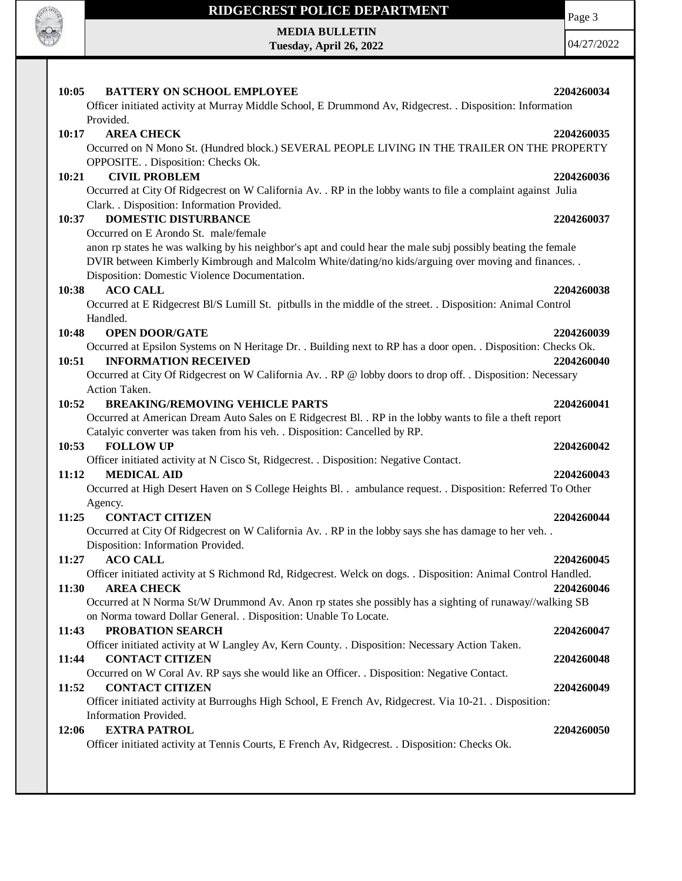

**MEDIA BULLETIN**

**Tuesday, April 26, 2022**

Page 3

| <b>BATTERY ON SCHOOL EMPLOYEE</b><br>10:05                                                                     | 2204260034 |
|----------------------------------------------------------------------------------------------------------------|------------|
| Officer initiated activity at Murray Middle School, E Drummond Av, Ridgecrest. . Disposition: Information      |            |
| Provided.                                                                                                      |            |
| <b>AREA CHECK</b><br>10:17                                                                                     | 2204260035 |
| Occurred on N Mono St. (Hundred block.) SEVERAL PEOPLE LIVING IN THE TRAILER ON THE PROPERTY                   |            |
| OPPOSITE. . Disposition: Checks Ok.                                                                            |            |
| <b>CIVIL PROBLEM</b><br>10:21                                                                                  | 2204260036 |
| Occurred at City Of Ridgecrest on W California Av. . RP in the lobby wants to file a complaint against Julia   |            |
| Clark. . Disposition: Information Provided.                                                                    |            |
| <b>DOMESTIC DISTURBANCE</b><br>10:37                                                                           | 2204260037 |
|                                                                                                                |            |
| Occurred on E Arondo St. male/female                                                                           |            |
| anon rp states he was walking by his neighbor's apt and could hear the male subj possibly beating the female   |            |
| DVIR between Kimberly Kimbrough and Malcolm White/dating/no kids/arguing over moving and finances. .           |            |
| Disposition: Domestic Violence Documentation.                                                                  |            |
| 10:38<br><b>ACO CALL</b>                                                                                       | 2204260038 |
| Occurred at E Ridgecrest Bl/S Lumill St. pitbulls in the middle of the street. . Disposition: Animal Control   |            |
| Handled.                                                                                                       |            |
| <b>OPEN DOOR/GATE</b><br>10:48                                                                                 | 2204260039 |
| Occurred at Epsilon Systems on N Heritage Dr. . Building next to RP has a door open. . Disposition: Checks Ok. |            |
| <b>INFORMATION RECEIVED</b><br>10:51                                                                           | 2204260040 |
| Occurred at City Of Ridgecrest on W California Av. . RP @ lobby doors to drop off. . Disposition: Necessary    |            |
| Action Taken.                                                                                                  |            |
| <b>BREAKING/REMOVING VEHICLE PARTS</b><br>10:52                                                                | 2204260041 |
| Occurred at American Dream Auto Sales on E Ridgecrest Bl. . RP in the lobby wants to file a theft report       |            |
| Catalyic converter was taken from his veh. . Disposition: Cancelled by RP.                                     |            |
| 10:53<br><b>FOLLOW UP</b>                                                                                      | 2204260042 |
| Officer initiated activity at N Cisco St, Ridgecrest. . Disposition: Negative Contact.                         |            |
| <b>MEDICAL AID</b><br>11:12                                                                                    | 2204260043 |
| Occurred at High Desert Haven on S College Heights Bl. . ambulance request. . Disposition: Referred To Other   |            |
|                                                                                                                |            |
| Agency.<br><b>CONTACT CITIZEN</b><br>11:25                                                                     | 2204260044 |
|                                                                                                                |            |
| Occurred at City Of Ridgecrest on W California Av. . RP in the lobby says she has damage to her veh. .         |            |
| Disposition: Information Provided.                                                                             |            |
| <b>ACO CALL</b><br>11:27                                                                                       | 2204260045 |
| Officer initiated activity at S Richmond Rd, Ridgecrest. Welck on dogs. . Disposition: Animal Control Handled. |            |
| 11:30<br><b>AREA CHECK</b>                                                                                     | 2204260046 |
| Occurred at N Norma St/W Drummond Av. Anon rp states she possibly has a sighting of runaway//walking SB        |            |
| on Norma toward Dollar General. . Disposition: Unable To Locate.                                               |            |
| 11:43<br>PROBATION SEARCH                                                                                      | 2204260047 |
| Officer initiated activity at W Langley Av, Kern County. . Disposition: Necessary Action Taken.                |            |
| 11:44<br><b>CONTACT CITIZEN</b>                                                                                | 2204260048 |
| Occurred on W Coral Av. RP says she would like an Officer. . Disposition: Negative Contact.                    |            |
| <b>CONTACT CITIZEN</b><br>11:52                                                                                | 2204260049 |
| Officer initiated activity at Burroughs High School, E French Av, Ridgecrest. Via 10-21. Disposition:          |            |
| Information Provided.                                                                                          |            |
|                                                                                                                |            |
| <b>EXTRA PATROL</b><br>12:06                                                                                   | 2204260050 |
| Officer initiated activity at Tennis Courts, E French Av, Ridgecrest. . Disposition: Checks Ok.                |            |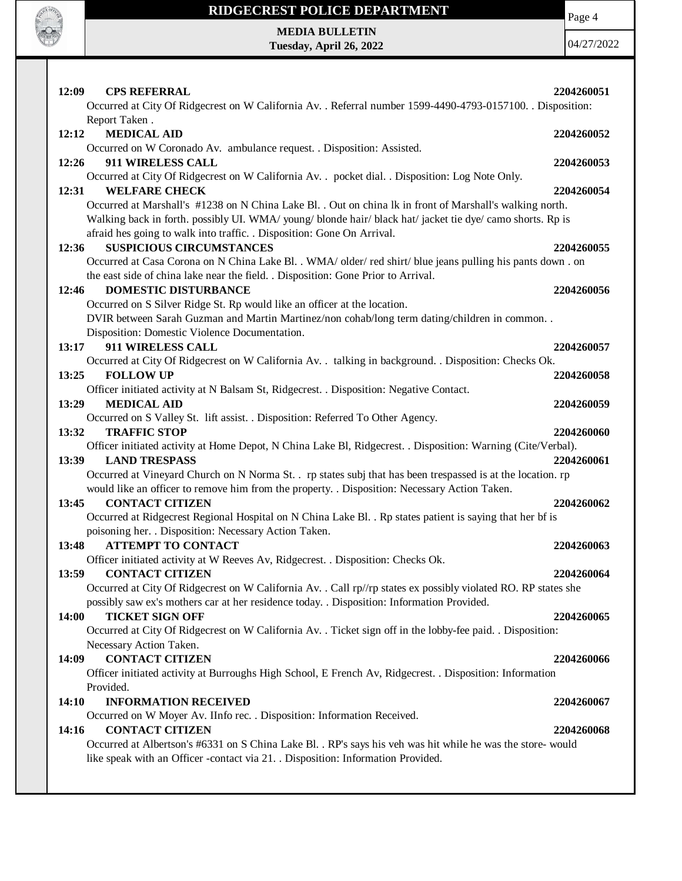

Page 4

**MEDIA BULLETIN Tuesday, April 26, 2022**

| 12:09<br><b>CPS REFERRAL</b>                                                                                                                                                                                 | 2204260051 |
|--------------------------------------------------------------------------------------------------------------------------------------------------------------------------------------------------------------|------------|
| Occurred at City Of Ridgecrest on W California Av. . Referral number 1599-4490-4793-0157100. . Disposition:                                                                                                  |            |
| Report Taken.                                                                                                                                                                                                |            |
| 12:12<br><b>MEDICAL AID</b>                                                                                                                                                                                  | 2204260052 |
| Occurred on W Coronado Av. ambulance request. . Disposition: Assisted.                                                                                                                                       |            |
| 911 WIRELESS CALL<br>12:26                                                                                                                                                                                   | 2204260053 |
| Occurred at City Of Ridgecrest on W California Av. . pocket dial. . Disposition: Log Note Only.                                                                                                              |            |
| <b>WELFARE CHECK</b><br>12:31                                                                                                                                                                                | 2204260054 |
| Occurred at Marshall's #1238 on N China Lake Bl. . Out on china lk in front of Marshall's walking north.                                                                                                     |            |
| Walking back in forth. possibly UI. WMA/ young/ blonde hair/ black hat/ jacket tie dye/ camo shorts. Rp is                                                                                                   |            |
| afraid hes going to walk into traffic. . Disposition: Gone On Arrival.                                                                                                                                       |            |
| <b>SUSPICIOUS CIRCUMSTANCES</b><br>12:36                                                                                                                                                                     | 2204260055 |
| Occurred at Casa Corona on N China Lake Bl. . WMA/ older/red shirt/ blue jeans pulling his pants down . on                                                                                                   |            |
| the east side of china lake near the field. . Disposition: Gone Prior to Arrival.                                                                                                                            |            |
| <b>DOMESTIC DISTURBANCE</b><br>12:46                                                                                                                                                                         | 2204260056 |
| Occurred on S Silver Ridge St. Rp would like an officer at the location.                                                                                                                                     |            |
| DVIR between Sarah Guzman and Martin Martinez/non cohab/long term dating/children in common                                                                                                                  |            |
| Disposition: Domestic Violence Documentation.                                                                                                                                                                |            |
| 911 WIRELESS CALL<br>13:17                                                                                                                                                                                   | 2204260057 |
| Occurred at City Of Ridgecrest on W California Av. . talking in background. . Disposition: Checks Ok.                                                                                                        |            |
| <b>FOLLOW UP</b><br>13:25                                                                                                                                                                                    | 2204260058 |
| Officer initiated activity at N Balsam St, Ridgecrest. . Disposition: Negative Contact.                                                                                                                      |            |
| <b>MEDICAL AID</b><br>13:29                                                                                                                                                                                  | 2204260059 |
| Occurred on S Valley St. lift assist. . Disposition: Referred To Other Agency.                                                                                                                               |            |
| <b>TRAFFIC STOP</b><br>13:32                                                                                                                                                                                 | 2204260060 |
| Officer initiated activity at Home Depot, N China Lake Bl, Ridgecrest. . Disposition: Warning (Cite/Verbal).                                                                                                 |            |
| <b>LAND TRESPASS</b><br>13:39                                                                                                                                                                                | 2204260061 |
| Occurred at Vineyard Church on N Norma St. . rp states subj that has been trespassed is at the location. rp<br>would like an officer to remove him from the property. . Disposition: Necessary Action Taken. |            |
| 13:45<br><b>CONTACT CITIZEN</b>                                                                                                                                                                              | 2204260062 |
| Occurred at Ridgecrest Regional Hospital on N China Lake Bl. . Rp states patient is saying that her bf is                                                                                                    |            |
| poisoning her. . Disposition: Necessary Action Taken.                                                                                                                                                        |            |
| 13:48<br><b>ATTEMPT TO CONTACT</b>                                                                                                                                                                           | 2204260063 |
| Officer initiated activity at W Reeves Av, Ridgecrest. . Disposition: Checks Ok.                                                                                                                             |            |
| <b>CONTACT CITIZEN</b><br>13:59                                                                                                                                                                              | 2204260064 |
| Occurred at City Of Ridgecrest on W California Av. . Call rp//rp states ex possibly violated RO. RP states she                                                                                               |            |
| possibly saw ex's mothers car at her residence today. . Disposition: Information Provided.                                                                                                                   |            |
| 14:00<br><b>TICKET SIGN OFF</b>                                                                                                                                                                              | 2204260065 |
| Occurred at City Of Ridgecrest on W California Av. . Ticket sign off in the lobby-fee paid. . Disposition:                                                                                                   |            |
| Necessary Action Taken.                                                                                                                                                                                      |            |
| <b>CONTACT CITIZEN</b><br>14:09                                                                                                                                                                              | 2204260066 |
| Officer initiated activity at Burroughs High School, E French Av, Ridgecrest. . Disposition: Information                                                                                                     |            |
| Provided.                                                                                                                                                                                                    |            |
| <b>INFORMATION RECEIVED</b><br>14:10                                                                                                                                                                         | 2204260067 |
| Occurred on W Moyer Av. IInfo rec. . Disposition: Information Received.                                                                                                                                      |            |
| <b>CONTACT CITIZEN</b><br>14:16                                                                                                                                                                              | 2204260068 |
| Occurred at Albertson's #6331 on S China Lake Bl. . RP's says his veh was hit while he was the store- would                                                                                                  |            |
| like speak with an Officer -contact via 21. . Disposition: Information Provided.                                                                                                                             |            |
|                                                                                                                                                                                                              |            |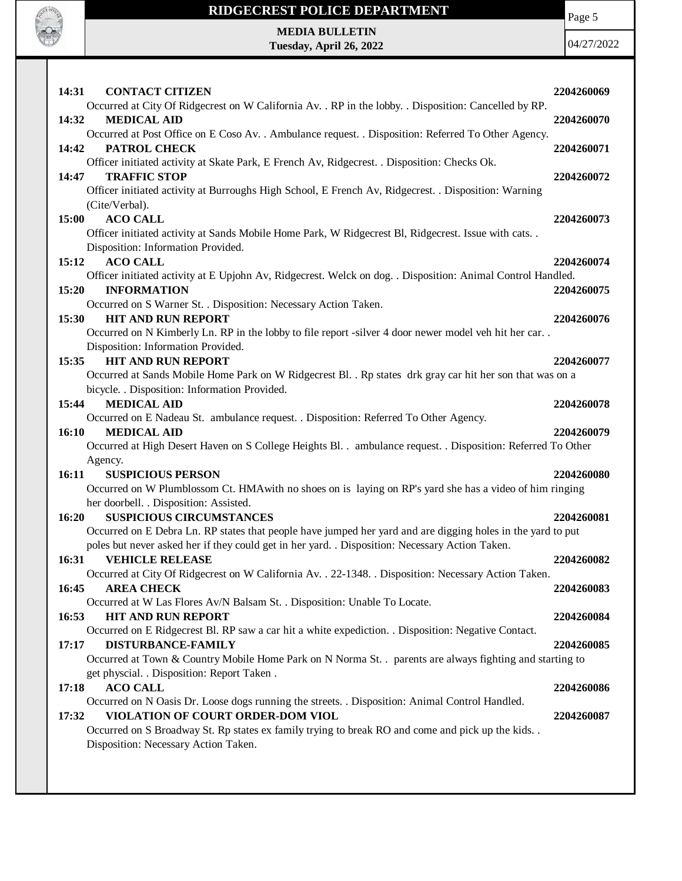

Page 5

 $22^{2}$ 

|              | <b>MEDIA BULLETIN</b><br>Tuesday, April 26, 2022                                                                                                   | 04/27/20   |
|--------------|----------------------------------------------------------------------------------------------------------------------------------------------------|------------|
|              |                                                                                                                                                    |            |
|              |                                                                                                                                                    |            |
| 14:31        | <b>CONTACT CITIZEN</b><br>Occurred at City Of Ridgecrest on W California Av. . RP in the lobby. . Disposition: Cancelled by RP.                    | 2204260069 |
| 14:32        | <b>MEDICAL AID</b>                                                                                                                                 | 2204260070 |
|              | Occurred at Post Office on E Coso Av. . Ambulance request. . Disposition: Referred To Other Agency.                                                |            |
| 14:42        | <b>PATROL CHECK</b>                                                                                                                                | 2204260071 |
|              | Officer initiated activity at Skate Park, E French Av, Ridgecrest. . Disposition: Checks Ok.                                                       |            |
| 14:47        | <b>TRAFFIC STOP</b><br>Officer initiated activity at Burroughs High School, E French Av, Ridgecrest. . Disposition: Warning                        | 2204260072 |
|              | (Cite/Verbal).                                                                                                                                     |            |
| <b>15:00</b> | <b>ACO CALL</b>                                                                                                                                    | 2204260073 |
|              | Officer initiated activity at Sands Mobile Home Park, W Ridgecrest Bl, Ridgecrest. Issue with cats. .                                              |            |
|              | Disposition: Information Provided.                                                                                                                 |            |
| 15:12        | <b>ACO CALL</b>                                                                                                                                    | 2204260074 |
|              | Officer initiated activity at E Upjohn Av, Ridgecrest. Welck on dog. . Disposition: Animal Control Handled.                                        |            |
| 15:20        | <b>INFORMATION</b><br>Occurred on S Warner St. . Disposition: Necessary Action Taken.                                                              | 2204260075 |
| 15:30        | <b>HIT AND RUN REPORT</b>                                                                                                                          | 2204260076 |
|              | Occurred on N Kimberly Ln. RP in the lobby to file report -silver 4 door newer model veh hit her car                                               |            |
|              | Disposition: Information Provided.                                                                                                                 |            |
| 15:35        | <b>HIT AND RUN REPORT</b>                                                                                                                          | 2204260077 |
|              | Occurred at Sands Mobile Home Park on W Ridgecrest Bl. . Rp states drk gray car hit her son that was on a                                          |            |
| 15:44        | bicycle. . Disposition: Information Provided.<br><b>MEDICAL AID</b>                                                                                | 2204260078 |
|              | Occurred on E Nadeau St. ambulance request. . Disposition: Referred To Other Agency.                                                               |            |
| <b>16:10</b> | <b>MEDICAL AID</b>                                                                                                                                 | 2204260079 |
|              | Occurred at High Desert Haven on S College Heights Bl. . ambulance request. . Disposition: Referred To Other                                       |            |
|              | Agency.                                                                                                                                            |            |
| 16:11        | <b>SUSPICIOUS PERSON</b>                                                                                                                           | 2204260080 |
|              | Occurred on W Plumblossom Ct. HMA with no shoes on is laying on RP's yard she has a video of him ringing<br>her doorbell. . Disposition: Assisted. |            |
| 16:20        | <b>SUSPICIOUS CIRCUMSTANCES</b>                                                                                                                    | 2204260081 |
|              | Occurred on E Debra Ln. RP states that people have jumped her yard and are digging holes in the yard to put                                        |            |
|              | poles but never asked her if they could get in her yard. . Disposition: Necessary Action Taken.                                                    |            |
| 16:31        | <b>VEHICLE RELEASE</b>                                                                                                                             | 2204260082 |
|              | Occurred at City Of Ridgecrest on W California Av. . 22-1348. . Disposition: Necessary Action Taken.                                               |            |
| 16:45        | <b>AREA CHECK</b><br>Occurred at W Las Flores Av/N Balsam St. . Disposition: Unable To Locate.                                                     | 2204260083 |
| 16:53        | <b>HIT AND RUN REPORT</b>                                                                                                                          | 2204260084 |
|              | Occurred on E Ridgecrest Bl. RP saw a car hit a white expediction. . Disposition: Negative Contact.                                                |            |
| 17:17        | DISTURBANCE-FAMILY                                                                                                                                 | 2204260085 |
|              | Occurred at Town & Country Mobile Home Park on N Norma St. . parents are always fighting and starting to                                           |            |
|              | get physcial. . Disposition: Report Taken .                                                                                                        |            |
| 17:18        | <b>ACO CALL</b>                                                                                                                                    | 2204260086 |
| 17:32        | Occurred on N Oasis Dr. Loose dogs running the streets. . Disposition: Animal Control Handled.<br>VIOLATION OF COURT ORDER-DOM VIOL                | 2204260087 |
|              | Occurred on S Broadway St. Rp states ex family trying to break RO and come and pick up the kids. .                                                 |            |
|              | Disposition: Necessary Action Taken.                                                                                                               |            |
|              |                                                                                                                                                    |            |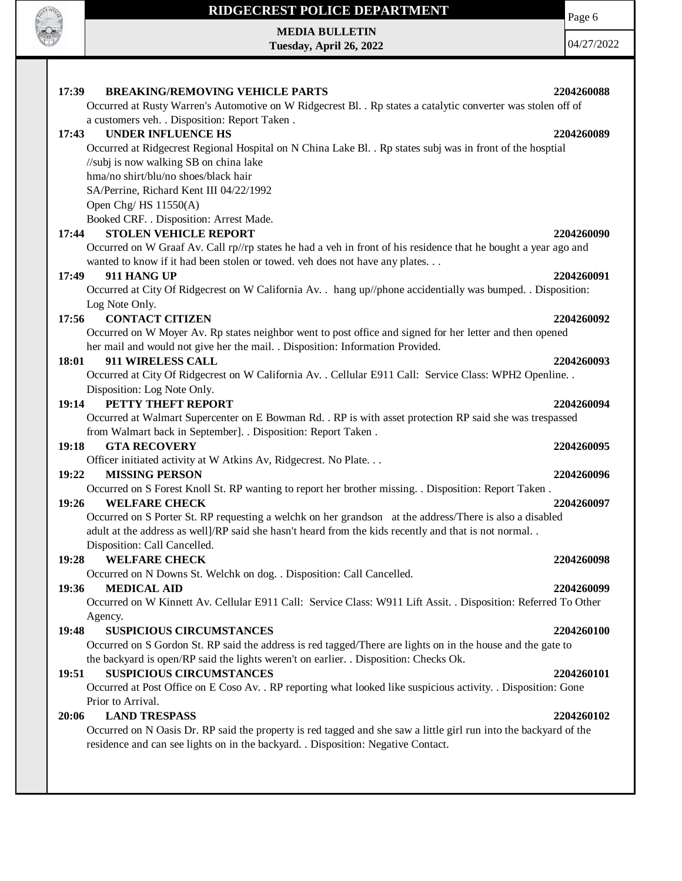